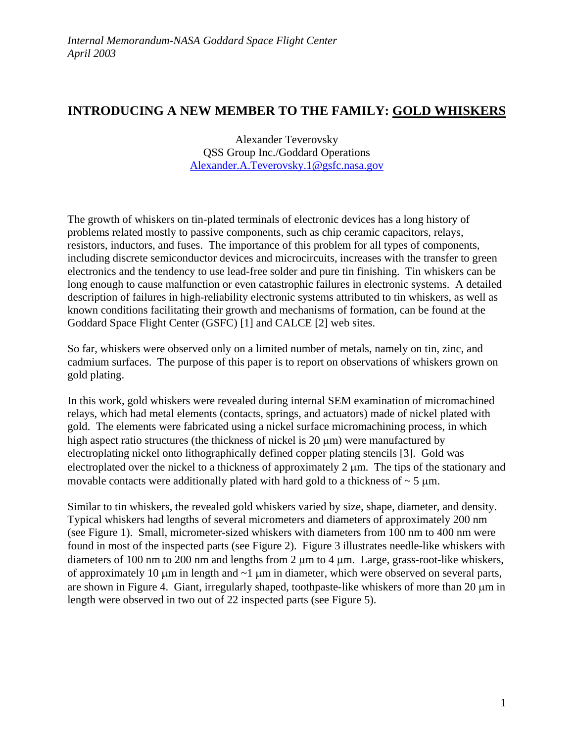## **INTRODUCING A NEW MEMBER TO THE FAMILY: GOLD WHISKERS**

Alexander Teverovsky QSS Group Inc./Goddard Operations Alexander.A.Teverovsky.1@gsfc.nasa.gov

The growth of whiskers on tin-plated terminals of electronic devices has a long history of problems related mostly to passive components, such as chip ceramic capacitors, relays, resistors, inductors, and fuses. The importance of this problem for all types of components, including discrete semiconductor devices and microcircuits, increases with the transfer to green electronics and the tendency to use lead-free solder and pure tin finishing. Tin whiskers can be long enough to cause malfunction or even catastrophic failures in electronic systems. A detailed description of failures in high-reliability electronic systems attributed to tin whiskers, as well as known conditions facilitating their growth and mechanisms of formation, can be found at the Goddard Space Flight Center (GSFC) [1] and CALCE [2] web sites.

So far, whiskers were observed only on a limited number of metals, namely on tin, zinc, and cadmium surfaces. The purpose of this paper is to report on observations of whiskers grown on gold plating.

In this work, gold whiskers were revealed during internal SEM examination of micromachined relays, which had metal elements (contacts, springs, and actuators) made of nickel plated with gold. The elements were fabricated using a nickel surface micromachining process, in which high aspect ratio structures (the thickness of nickel is 20  $\mu$ m) were manufactured by electroplating nickel onto lithographically defined copper plating stencils [3]. Gold was electroplated over the nickel to a thickness of approximately 2 µm. The tips of the stationary and movable contacts were additionally plated with hard gold to a thickness of  $\sim$  5  $\mu$ m.

Similar to tin whiskers, the revealed gold whiskers varied by size, shape, diameter, and density. Typical whiskers had lengths of several micrometers and diameters of approximately 200 nm (see Figure 1). Small, micrometer-sized whiskers with diameters from 100 nm to 400 nm were found in most of the inspected parts (see Figure 2). Figure 3 illustrates needle-like whiskers with diameters of 100 nm to 200 nm and lengths from 2 µm to 4 µm. Large, grass-root-like whiskers, of approximately 10  $\mu$ m in length and  $\sim$ 1  $\mu$ m in diameter, which were observed on several parts, are shown in Figure 4. Giant, irregularly shaped, toothpaste-like whiskers of more than 20  $\mu$ m in length were observed in two out of 22 inspected parts (see Figure 5).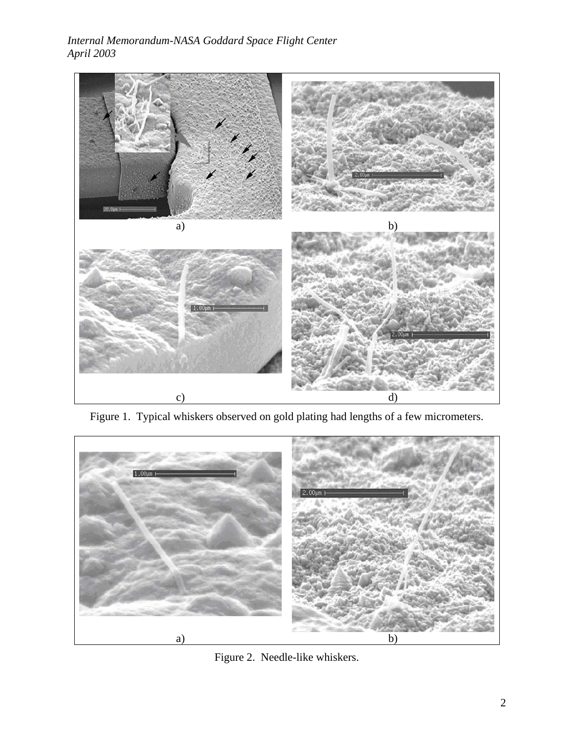## *Internal Memorandum-NASA Goddard Space Flight Center April 2003*



Figure 1. Typical whiskers observed on gold plating had lengths of a few micrometers.



Figure 2. Needle-like whiskers.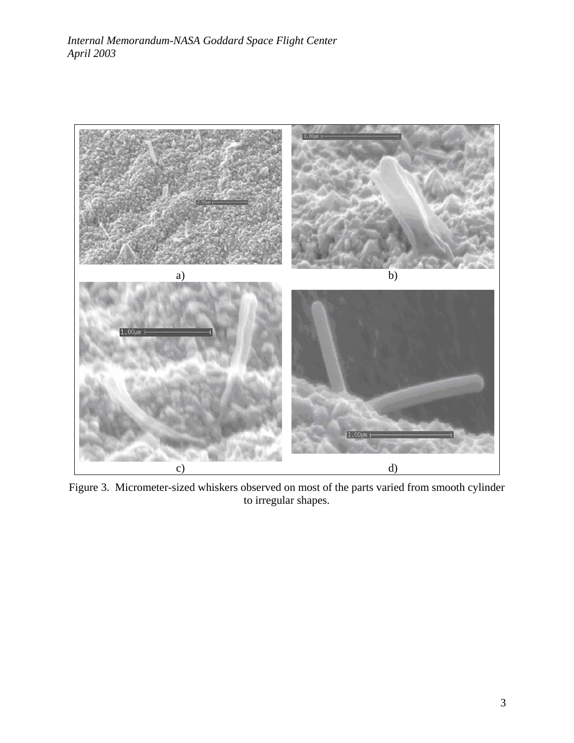

Figure 3. Micrometer-sized whiskers observed on most of the parts varied from smooth cylinder to irregular shapes.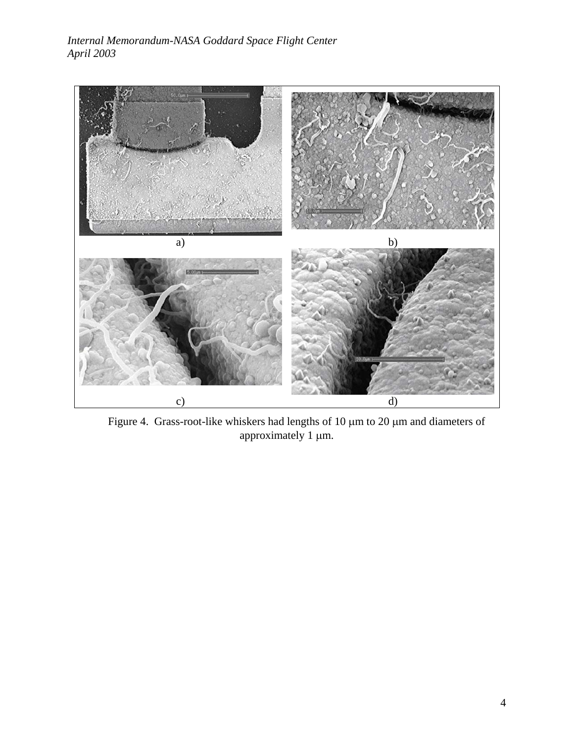

 Figure 4. Grass-root-like whiskers had lengths of 10 µm to 20 µm and diameters of approximately 1 µm.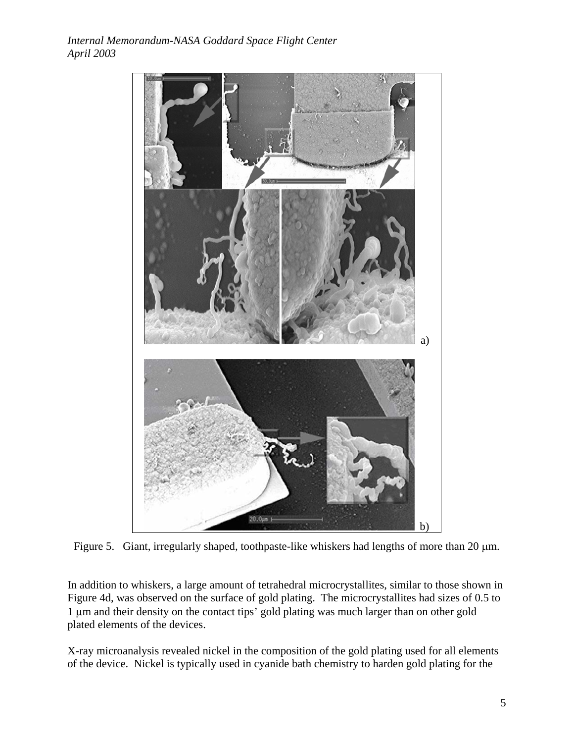

Figure 5. Giant, irregularly shaped, toothpaste-like whiskers had lengths of more than 20  $\mu$ m.

In addition to whiskers, a large amount of tetrahedral microcrystallites, similar to those shown in Figure 4d, was observed on the surface of gold plating. The microcrystallites had sizes of 0.5 to 1 µm and their density on the contact tips' gold plating was much larger than on other gold plated elements of the devices.

X-ray microanalysis revealed nickel in the composition of the gold plating used for all elements of the device. Nickel is typically used in cyanide bath chemistry to harden gold plating for the